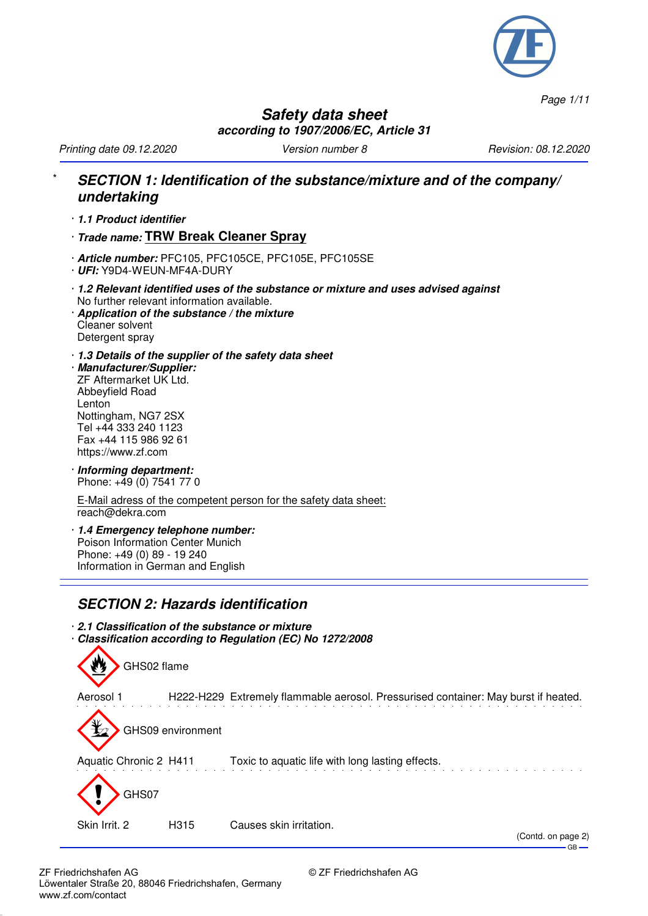

*Page 1/11*

 $-$  GB  $-$ 

### **Safety data sheet according to 1907/2006/EC, Article 31**

*Printing date 09.12.2020 Version number 8 Revision: 08.12.2020*

### \* **SECTION 1: Identification of the substance/mixture and of the company/ undertaking**

· **1.1 Product identifier**

· **Trade name: TRW Break Cleaner Spray**

· **Article number:** PFC105, PFC105CE, PFC105E, PFC105SE

- · **UFI:** Y9D4-WEUN-MF4A-DURY
- · **1.2 Relevant identified uses of the substance or mixture and uses advised against** No further relevant information available.
- · **Application of the substance / the mixture** Cleaner solvent Detergent spray
- · **1.3 Details of the supplier of the safety data sheet**
- · **Manufacturer/Supplier:** ZF Aftermarket UK Ltd. Abbeyfield Road Lenton Nottingham, NG7 2SX Tel +44 333 240 1123 Fax +44 115 986 92 61 https://www.zf.com
- · **Informing department:** Phone: +49 (0) 7541 77 0

E-Mail adress of the competent person for the safety data sheet: reach@dekra.com

· **1.4 Emergency telephone number:** Poison Information Center Munich Phone: +49 (0) 89 - 19 240 Information in German and English

## **SECTION 2: Hazards identification**

· **2.1 Classification of the substance or mixture** · **Classification according to Regulation (EC) No 1272/2008**

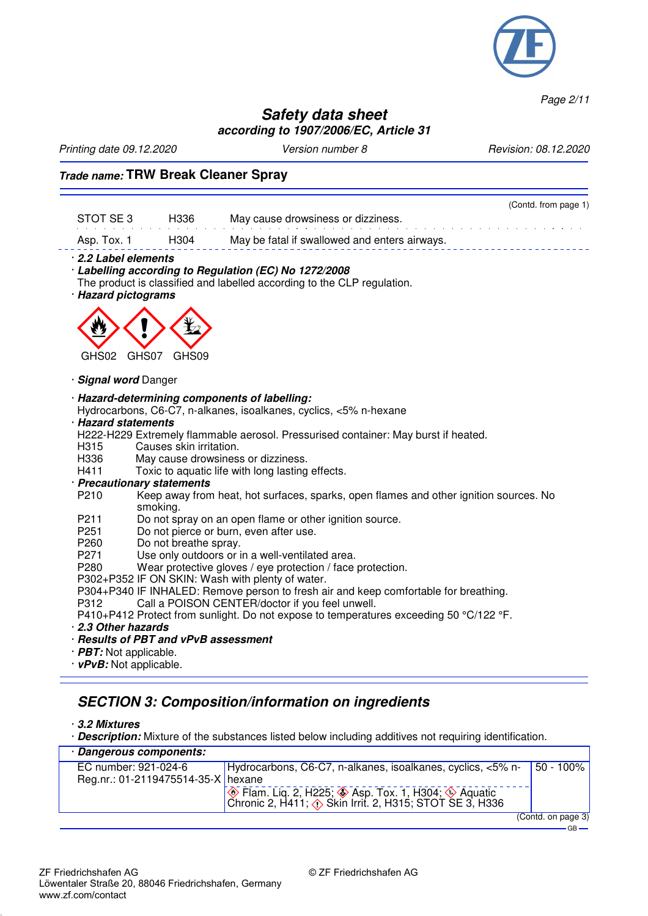

*Page 2/11*

### **Safety data sheet according to 1907/2006/EC, Article 31**

*Printing date 09.12.2020 Version number 8 Revision: 08.12.2020*

### **Trade name: TRW Break Cleaner Spray**

|             |      | (Contd. from page 1)                          |
|-------------|------|-----------------------------------------------|
| STOT SE 3   | H336 | May cause drowsiness or dizziness.            |
| Asp. Tox. 1 | H304 | May be fatal if swallowed and enters airways. |

#### · **2.2 Label elements**

- · **Labelling according to Regulation (EC) No 1272/2008**
- The product is classified and labelled according to the CLP regulation.
- · **Hazard pictograms**



#### · **Signal word** Danger

#### · **Hazard-determining components of labelling:**

Hydrocarbons, C6-C7, n-alkanes, isoalkanes, cyclics, <5% n-hexane

#### · **Hazard statements**

- H222-H229 Extremely flammable aerosol. Pressurised container: May burst if heated.
- H315 Causes skin irritation.<br>H336 May cause drowsines
- H336 May cause drowsiness or dizziness.<br>H411 Toxic to aquatic life with long lasting
- Toxic to aquatic life with long lasting effects.
- · **Precautionary statements**
	- Keep away from heat, hot surfaces, sparks, open flames and other ignition sources. No smoking.
- P211 Do not spray on an open flame or other ignition source.<br>P251 Do not pierce or burn, even after use.
- Do not pierce or burn, even after use.
- P<sub>260</sub> Do not breathe spray.
- P271 Use only outdoors or in a well-ventilated area.<br>P280 Wear protective gloves / eve protection / face
- Wear protective gloves / eye protection / face protection.
- P302+P352 IF ON SKIN: Wash with plenty of water.
- P304+P340 IF INHALED: Remove person to fresh air and keep comfortable for breathing.
- P312 Call a POISON CENTER/doctor if you feel unwell.
- P410+P412 Protect from sunlight. Do not expose to temperatures exceeding 50 °C/122 °F.
- · **2.3 Other hazards**
- · **Results of PBT and vPvB assessment**
- · **PBT:** Not applicable.
- · **vPvB:** Not applicable.

#### **SECTION 3: Composition/information on ingredients**

#### · **3.2 Mixtures**

· **Description:** Mixture of the substances listed below including additives not requiring identification.

| Dangerous components:              |                                                                                                                                     |                    |
|------------------------------------|-------------------------------------------------------------------------------------------------------------------------------------|--------------------|
| EC number: 921-024-6               | Hydrocarbons, C6-C7, n-alkanes, isoalkanes, cyclics, <5% n- 750 - 100%                                                              |                    |
| Reg.nr.: 01-2119475514-35-X hexane |                                                                                                                                     |                    |
|                                    | Elam. Liq. 2, H225; ♦ Asp. Tox. 1, H304; ♦ Aquatic<br>Chronic 2, H411; $\langle \cdot \rangle$ Skin Irrit. 2, H315; STOT SE 3, H336 |                    |
|                                    |                                                                                                                                     | (Contd. on page 3) |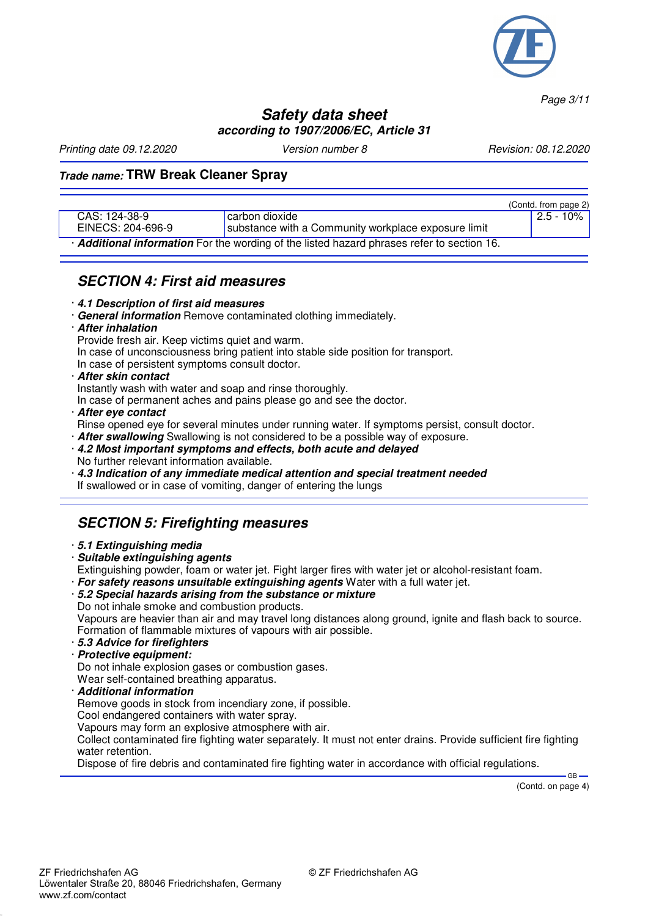

*Page 3/11*

### **Safety data sheet according to 1907/2006/EC, Article 31**

*Printing date 09.12.2020 Version number 8 Revision: 08.12.2020*

### **Trade name: TRW Break Cleaner Spray**

|                                                                                          |                                                     |  | (Contd. from page 2) |
|------------------------------------------------------------------------------------------|-----------------------------------------------------|--|----------------------|
| CAS: 124-38-9                                                                            | carbon dioxide                                      |  | ' 2.5 - 10% I        |
| EINECS: 204-696-9                                                                        | substance with a Community workplace exposure limit |  |                      |
| Additional information For the wording of the listed hazard phrases refer to section 16. |                                                     |  |                      |

### **SECTION 4: First aid measures**

- · **4.1 Description of first aid measures**
- · **General information** Remove contaminated clothing immediately.
- · **After inhalation**

Provide fresh air. Keep victims quiet and warm.

In case of unconsciousness bring patient into stable side position for transport.

In case of persistent symptoms consult doctor.

· **After skin contact**

Instantly wash with water and soap and rinse thoroughly.

In case of permanent aches and pains please go and see the doctor.

· **After eye contact**

Rinse opened eye for several minutes under running water. If symptoms persist, consult doctor.

- · **After swallowing** Swallowing is not considered to be a possible way of exposure.
- · **4.2 Most important symptoms and effects, both acute and delayed** No further relevant information available.
- · **4.3 Indication of any immediate medical attention and special treatment needed**
- If swallowed or in case of vomiting, danger of entering the lungs

## **SECTION 5: Firefighting measures**

- · **5.1 Extinguishing media**
- · **Suitable extinguishing agents**

Extinguishing powder, foam or water jet. Fight larger fires with water jet or alcohol-resistant foam.

- · **For safety reasons unsuitable extinguishing agents** Water with a full water jet.
- · **5.2 Special hazards arising from the substance or mixture** Do not inhale smoke and combustion products.

Vapours are heavier than air and may travel long distances along ground, ignite and flash back to source. Formation of flammable mixtures of vapours with air possible.

- · **5.3 Advice for firefighters**
- · **Protective equipment:**

Do not inhale explosion gases or combustion gases.

Wear self-contained breathing apparatus.

· **Additional information**

Remove goods in stock from incendiary zone, if possible.

Cool endangered containers with water spray.

Vapours may form an explosive atmosphere with air.

Collect contaminated fire fighting water separately. It must not enter drains. Provide sufficient fire fighting water retention.

Dispose of fire debris and contaminated fire fighting water in accordance with official regulations.

(Contd. on page 4)

GB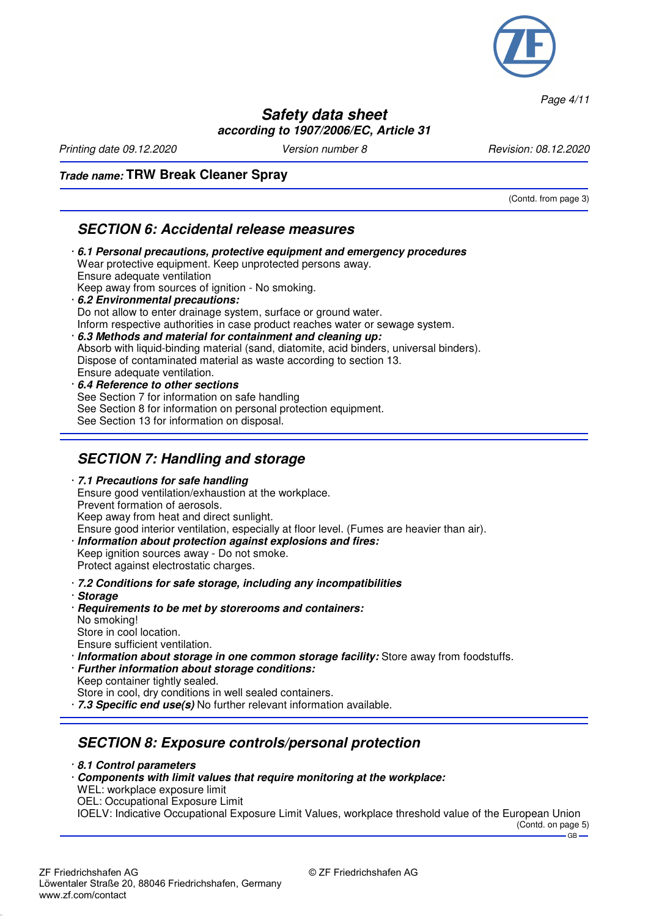

*Page 4/11*

#### **Safety data sheet according to 1907/2006/EC, Article 31**

*Printing date 09.12.2020 Version number 8 Revision: 08.12.2020*

(Contd. from page 3)

#### **Trade name: TRW Break Cleaner Spray**

### **SECTION 6: Accidental release measures**

- · **6.1 Personal precautions, protective equipment and emergency procedures** Wear protective equipment. Keep unprotected persons away. Ensure adequate ventilation Keep away from sources of ignition - No smoking. · **6.2 Environmental precautions:** Do not allow to enter drainage system, surface or ground water. Inform respective authorities in case product reaches water or sewage system. · **6.3 Methods and material for containment and cleaning up:** Absorb with liquid-binding material (sand, diatomite, acid binders, universal binders). Dispose of contaminated material as waste according to section 13. Ensure adequate ventilation. · **6.4 Reference to other sections**
- See Section 7 for information on safe handling See Section 8 for information on personal protection equipment. See Section 13 for information on disposal.

## **SECTION 7: Handling and storage**

· **7.1 Precautions for safe handling** Ensure good ventilation/exhaustion at the workplace. Prevent formation of aerosols. Keep away from heat and direct sunlight. Ensure good interior ventilation, especially at floor level. (Fumes are heavier than air). · **Information about protection against explosions and fires:**

Keep ignition sources away - Do not smoke. Protect against electrostatic charges.

- · **7.2 Conditions for safe storage, including any incompatibilities**
- · **Storage**
- · **Requirements to be met by storerooms and containers:** No smoking! Store in cool location. Ensure sufficient ventilation.
- · **Information about storage in one common storage facility:** Store away from foodstuffs.
- · **Further information about storage conditions:** Keep container tightly sealed.
- Store in cool, dry conditions in well sealed containers.
- · **7.3 Specific end use(s)** No further relevant information available.

## **SECTION 8: Exposure controls/personal protection**

· **8.1 Control parameters**

- · **Components with limit values that require monitoring at the workplace:**
- WEL: workplace exposure limit
- OEL: Occupational Exposure Limit

IOELV: Indicative Occupational Exposure Limit Values, workplace threshold value of the European Union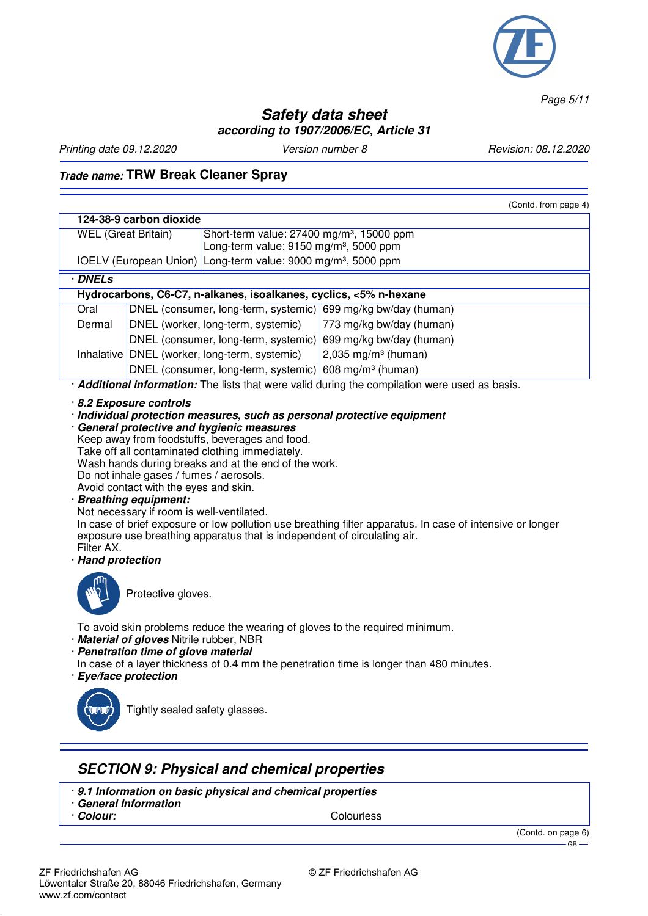

*Page 5/11*

## **Safety data sheet according to 1907/2006/EC, Article 31**

*Printing date 09.12.2020 Version number 8 Revision: 08.12.2020*

# **Trade name: TRW Break Cleaner Spray**

|                                                                                                                                                                                                                                                                                                                                                                                                                                                                                                                                                                                                                                                                                                       |  |                                                                           | (Contd. from page 4)                                                                         |
|-------------------------------------------------------------------------------------------------------------------------------------------------------------------------------------------------------------------------------------------------------------------------------------------------------------------------------------------------------------------------------------------------------------------------------------------------------------------------------------------------------------------------------------------------------------------------------------------------------------------------------------------------------------------------------------------------------|--|---------------------------------------------------------------------------|----------------------------------------------------------------------------------------------|
| 124-38-9 carbon dioxide                                                                                                                                                                                                                                                                                                                                                                                                                                                                                                                                                                                                                                                                               |  |                                                                           |                                                                                              |
| <b>WEL</b> (Great Britain)<br>Short-term value: 27400 mg/m <sup>3</sup> , 15000 ppm                                                                                                                                                                                                                                                                                                                                                                                                                                                                                                                                                                                                                   |  |                                                                           |                                                                                              |
|                                                                                                                                                                                                                                                                                                                                                                                                                                                                                                                                                                                                                                                                                                       |  | Long-term value: 9150 mg/m <sup>3</sup> , 5000 ppm                        |                                                                                              |
|                                                                                                                                                                                                                                                                                                                                                                                                                                                                                                                                                                                                                                                                                                       |  | IOELV (European Union) Long-term value: 9000 mg/m <sup>3</sup> , 5000 ppm |                                                                                              |
| · DNELs                                                                                                                                                                                                                                                                                                                                                                                                                                                                                                                                                                                                                                                                                               |  |                                                                           |                                                                                              |
|                                                                                                                                                                                                                                                                                                                                                                                                                                                                                                                                                                                                                                                                                                       |  | Hydrocarbons, C6-C7, n-alkanes, isoalkanes, cyclics, <5% n-hexane         |                                                                                              |
| Oral                                                                                                                                                                                                                                                                                                                                                                                                                                                                                                                                                                                                                                                                                                  |  |                                                                           | DNEL (consumer, long-term, systemic) 699 mg/kg bw/day (human)                                |
| Dermal                                                                                                                                                                                                                                                                                                                                                                                                                                                                                                                                                                                                                                                                                                |  | DNEL (worker, long-term, systemic)                                        | 773 mg/kg bw/day (human)                                                                     |
|                                                                                                                                                                                                                                                                                                                                                                                                                                                                                                                                                                                                                                                                                                       |  |                                                                           | DNEL (consumer, long-term, systemic) 699 mg/kg bw/day (human)                                |
|                                                                                                                                                                                                                                                                                                                                                                                                                                                                                                                                                                                                                                                                                                       |  | Inhalative   DNEL (worker, long-term, systemic)                           | 2,035 mg/m <sup>3</sup> (human)                                                              |
|                                                                                                                                                                                                                                                                                                                                                                                                                                                                                                                                                                                                                                                                                                       |  | DNEL (consumer, long-term, systemic) 608 mg/m <sup>3</sup> (human)        |                                                                                              |
|                                                                                                                                                                                                                                                                                                                                                                                                                                                                                                                                                                                                                                                                                                       |  |                                                                           | Additional information: The lists that were valid during the compilation were used as basis. |
| 8.2 Exposure controls<br>· Individual protection measures, such as personal protective equipment<br>General protective and hygienic measures<br>Keep away from foodstuffs, beverages and food.<br>Take off all contaminated clothing immediately.<br>Wash hands during breaks and at the end of the work.<br>Do not inhale gases / fumes / aerosols.<br>Avoid contact with the eyes and skin.<br><b>Breathing equipment:</b><br>Not necessary if room is well-ventilated.<br>In case of brief exposure or low pollution use breathing filter apparatus. In case of intensive or longer<br>exposure use breathing apparatus that is independent of circulating air.<br>Filter AX.<br>· Hand protection |  |                                                                           |                                                                                              |
| Protective gloves.                                                                                                                                                                                                                                                                                                                                                                                                                                                                                                                                                                                                                                                                                    |  |                                                                           |                                                                                              |
| To avoid skin problems reduce the wearing of gloves to the required minimum.<br>· Material of gloves Nitrile rubber, NBR<br>· Penetration time of glove material<br>In case of a layer thickness of 0.4 mm the penetration time is longer than 480 minutes.<br>· Eye/face protection                                                                                                                                                                                                                                                                                                                                                                                                                  |  |                                                                           |                                                                                              |
| Tightly sealed safety glasses.                                                                                                                                                                                                                                                                                                                                                                                                                                                                                                                                                                                                                                                                        |  |                                                                           |                                                                                              |

## **SECTION 9: Physical and chemical properties**

- · **9.1 Information on basic physical and chemical properties**
- · **General Information**

· **Colour:** Colourless

(Contd. on page 6) GB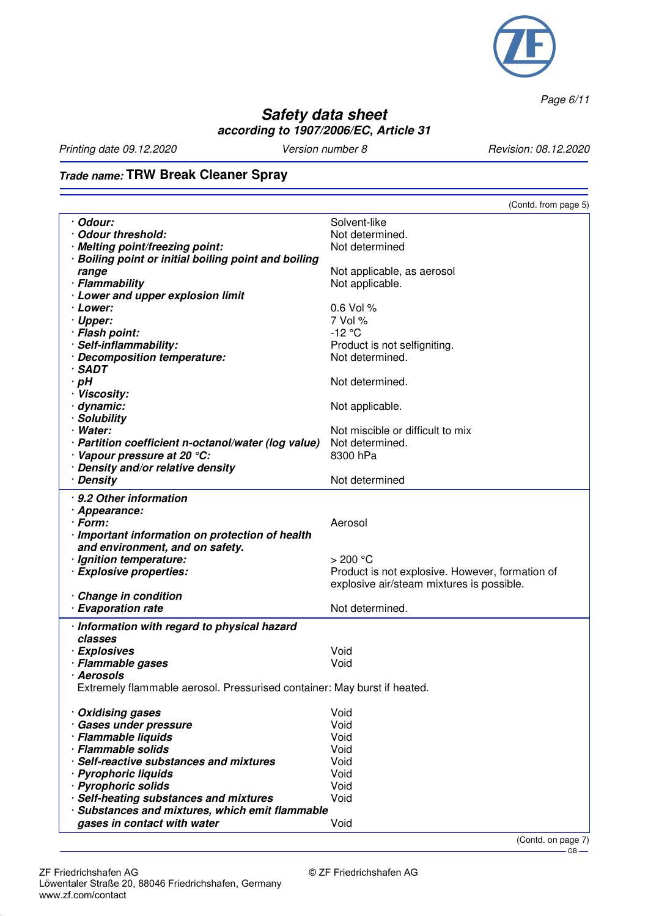

*Page 6/11*

## **Safety data sheet according to 1907/2006/EC, Article 31**

*Printing date 09.12.2020 Version number 8 Revision: 08.12.2020*

# **Trade name: TRW Break Cleaner Spray**

|                                                                         | (Contd. from page 5)                            |
|-------------------------------------------------------------------------|-------------------------------------------------|
| · Odour:                                                                | Solvent-like                                    |
| · Odour threshold:                                                      | Not determined.                                 |
|                                                                         | Not determined                                  |
| · Melting point/freezing point:                                         |                                                 |
| · Boiling point or initial boiling point and boiling                    |                                                 |
| range                                                                   | Not applicable, as aerosol                      |
| · Flammability                                                          | Not applicable.                                 |
| · Lower and upper explosion limit                                       |                                                 |
| · Lower:                                                                | 0.6 Vol %                                       |
| · Upper:                                                                | 7 Vol %                                         |
| · Flash point:                                                          | $-12$ °C                                        |
| · Self-inflammability:                                                  | Product is not selfigniting.                    |
| · Decomposition temperature:                                            | Not determined.                                 |
| $\cdot$ SADT                                                            |                                                 |
| $\cdot$ pH                                                              | Not determined.                                 |
| · Viscosity:                                                            |                                                 |
| · dynamic:                                                              |                                                 |
|                                                                         | Not applicable.                                 |
| · Solubility                                                            |                                                 |
| · Water:                                                                | Not miscible or difficult to mix                |
| · Partition coefficient n-octanol/water (log value)                     | Not determined.                                 |
| · Vapour pressure at 20 °C:                                             | 8300 hPa                                        |
| · Density and/or relative density                                       |                                                 |
| · Density                                                               | Not determined                                  |
| · 9.2 Other information                                                 |                                                 |
| · Appearance:                                                           |                                                 |
| · Form:                                                                 | Aerosol                                         |
|                                                                         |                                                 |
| · Important information on protection of health                         |                                                 |
| and environment, and on safety.                                         |                                                 |
| · Ignition temperature:                                                 | $>$ 200 °C                                      |
| · Explosive properties:                                                 | Product is not explosive. However, formation of |
|                                                                         | explosive air/steam mixtures is possible.       |
| · Change in condition                                                   |                                                 |
| · Evaporation rate                                                      | Not determined.                                 |
| · Information with regard to physical hazard                            |                                                 |
| classes                                                                 |                                                 |
| · Explosives                                                            | Void                                            |
| · Flammable gases                                                       | Void                                            |
| · Aerosols                                                              |                                                 |
|                                                                         |                                                 |
| Extremely flammable aerosol. Pressurised container: May burst if heated |                                                 |
|                                                                         | Void                                            |
| · Oxidising gases                                                       |                                                 |
| · Gases under pressure                                                  | Void                                            |
| · Flammable liquids                                                     | Void                                            |
| · Flammable solids                                                      | Void                                            |
| · Self-reactive substances and mixtures                                 | Void                                            |
| · Pyrophoric liquids                                                    | Void                                            |
| · Pyrophoric solids                                                     | Void                                            |
| · Self-heating substances and mixtures                                  | Void                                            |
| · Substances and mixtures, which emit flammable                         |                                                 |
| gases in contact with water                                             | Void                                            |
|                                                                         |                                                 |

(Contd. on page 7)  $-$ GB $-$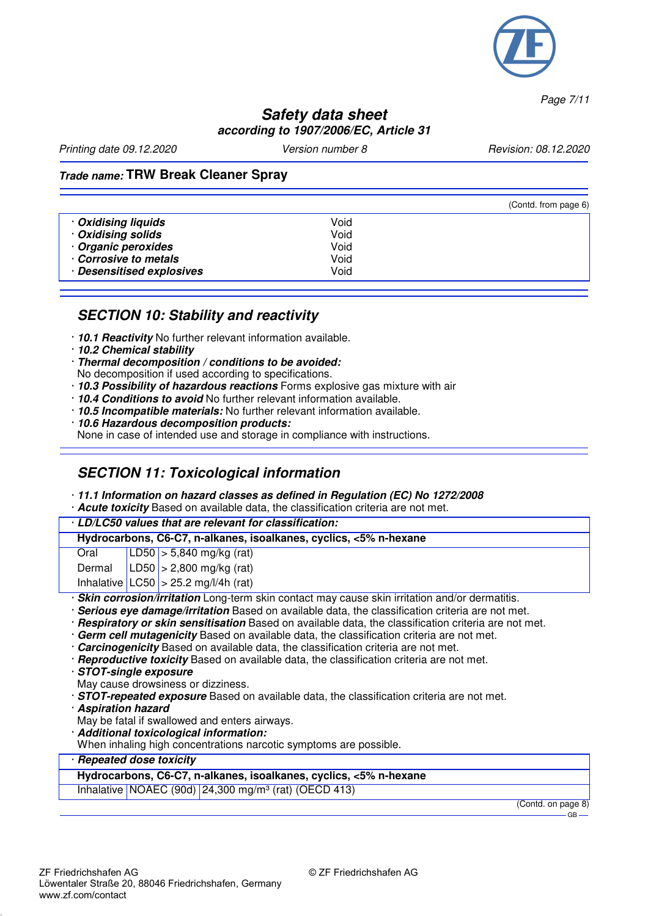

*Page 7/11*

#### **Safety data sheet according to 1907/2006/EC, Article 31**

*Printing date 09.12.2020 Version number 8 Revision: 08.12.2020*

### **Trade name: TRW Break Cleaner Spray**

|                           |      | (Contd. from page 6) |
|---------------------------|------|----------------------|
| · Oxidising liquids       | Void |                      |
| Oxidising solids          | Void |                      |
| Organic peroxides         | Void |                      |
| Corrosive to metals       | Void |                      |
| · Desensitised explosives | Void |                      |

#### **SECTION 10: Stability and reactivity**

- · **10.1 Reactivity** No further relevant information available.
- · **10.2 Chemical stability**
- · **Thermal decomposition / conditions to be avoided:**
- No decomposition if used according to specifications.
- · **10.3 Possibility of hazardous reactions** Forms explosive gas mixture with air
- · **10.4 Conditions to avoid** No further relevant information available.
- · **10.5 Incompatible materials:** No further relevant information available.
- · **10.6 Hazardous decomposition products:** None in case of intended use and storage in compliance with instructions.

## **SECTION 11: Toxicological information**

- · **11.1 Information on hazard classes as defined in Regulation (EC) No 1272/2008**
- · **Acute toxicity** Based on available data, the classification criteria are not met.

|                                                                                                       | · LD/LC50 values that are relevant for classification:                                            |  |                                                                   |
|-------------------------------------------------------------------------------------------------------|---------------------------------------------------------------------------------------------------|--|-------------------------------------------------------------------|
|                                                                                                       |                                                                                                   |  | Hydrocarbons, C6-C7, n-alkanes, isoalkanes, cyclics, <5% n-hexane |
|                                                                                                       | Oral                                                                                              |  | $ LD50  > 5,840$ mg/kg (rat)                                      |
|                                                                                                       | Dermal                                                                                            |  | $ LD50  > 2,800$ mg/kg (rat)                                      |
|                                                                                                       |                                                                                                   |  | Inhalative $ LOG0  > 25.2$ mg/l/4h (rat)                          |
|                                                                                                       | · Skin corrosion/irritation Long-term skin contact may cause skin irritation and/or dermatitis.   |  |                                                                   |
|                                                                                                       | · Serious eye damage/irritation Based on available data, the classification criteria are not met. |  |                                                                   |
| · Respiratory or skin sensitisation Based on available data, the classification criteria are not met. |                                                                                                   |  |                                                                   |
| · Germ cell mutagenicity Based on available data, the classification criteria are not met.            |                                                                                                   |  |                                                                   |

- · **Carcinogenicity** Based on available data, the classification criteria are not met.
- · **Reproductive toxicity** Based on available data, the classification criteria are not met.
- · **STOT-single exposure**
- May cause drowsiness or dizziness.
- · **STOT-repeated exposure** Based on available data, the classification criteria are not met.
- · **Aspiration hazard**
- May be fatal if swallowed and enters airways.
- · **Additional toxicological information:**
- When inhaling high concentrations narcotic symptoms are possible.

#### · **Repeated dose toxicity**

#### **Hydrocarbons, C6-C7, n-alkanes, isoalkanes, cyclics, <5% n-hexane**

Inhalative NOAEC (90d) 24,300 mg/m³ (rat) (OECD 413)

(Contd. on page 8) GB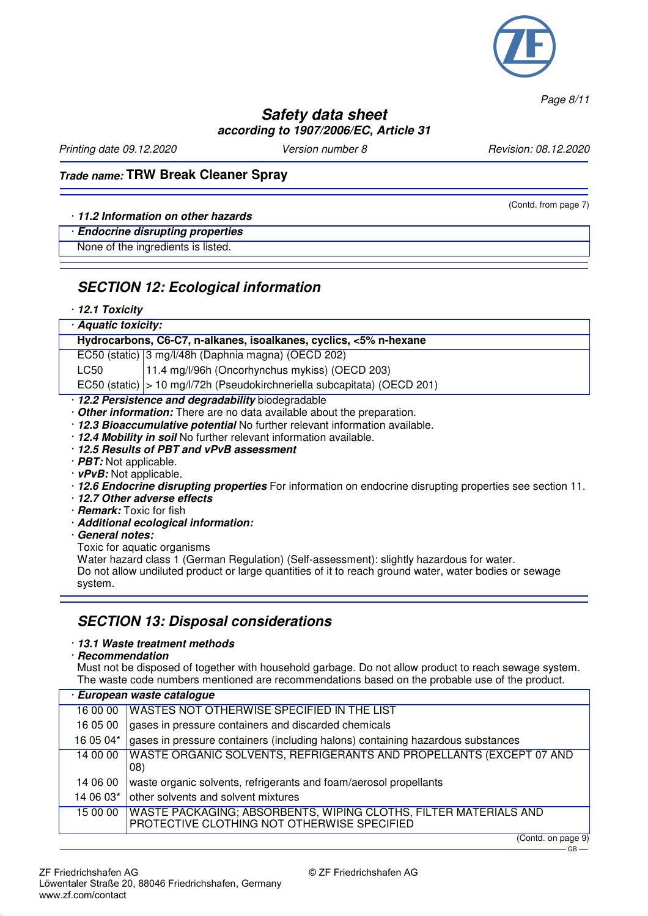

*Page 8/11*

### **Safety data sheet according to 1907/2006/EC, Article 31**

*Printing date 09.12.2020 Version number 8 Revision: 08.12.2020*

(Contd. from page 7)

### **Trade name: TRW Break Cleaner Spray**

#### · **11.2 Information on other hazards**

#### · **Endocrine disrupting properties**

None of the ingredients is listed.

#### **SECTION 12: Ecological information**

#### · **12.1 Toxicity**

| · Aquatic toxicity:                                                         |                                                                            |  |
|-----------------------------------------------------------------------------|----------------------------------------------------------------------------|--|
|                                                                             | Hydrocarbons, C6-C7, n-alkanes, isoalkanes, cyclics, <5% n-hexane          |  |
|                                                                             | EC50 (static) 3 mg/l/48h (Daphnia magna) (OECD 202)                        |  |
| LC50                                                                        | 11.4 mg/l/96h (Oncorhynchus mykiss) (OECD 203)                             |  |
|                                                                             | EC50 (static)   > 10 mg/l/72h (Pseudokirchneriella subcapitata) (OECD 201) |  |
|                                                                             | · 12.2 Persistence and degradability biodegradable                         |  |
| . Other information: There are no data available about the preparation.     |                                                                            |  |
| · 12.3 Bioaccumulative potential No further relevant information available. |                                                                            |  |
| · 12.4 Mobility in soil No further relevant information available.          |                                                                            |  |
| 12.5 Results of PBT and vPvB assessment                                     |                                                                            |  |
| $\cdot$ <i>PBT:</i> Not applicable.                                         |                                                                            |  |
| $\cdot$ vPvB: Not applicable.                                               |                                                                            |  |

- · **12.6 Endocrine disrupting properties** For information on endocrine disrupting properties see section 11.
- · **12.7 Other adverse effects**
- · **Remark:** Toxic for fish
- · **Additional ecological information:**
- · **General notes:**
- Toxic for aquatic organisms

Water hazard class 1 (German Regulation) (Self-assessment): slightly hazardous for water. Do not allow undiluted product or large quantities of it to reach ground water, water bodies or sewage system.

#### **SECTION 13: Disposal considerations**

· **13.1 Waste treatment methods**

· **Recommendation**

Must not be disposed of together with household garbage. Do not allow product to reach sewage system. The waste code numbers mentioned are recommendations based on the probable use of the product.

| European waste catalogue |                                                                                                                 |  |
|--------------------------|-----------------------------------------------------------------------------------------------------------------|--|
| 16 00 00                 | WASTES NOT OTHERWISE SPECIFIED IN THE LIST                                                                      |  |
| 16 05 00                 | gases in pressure containers and discarded chemicals                                                            |  |
| 16 05 04*                | gases in pressure containers (including halons) containing hazardous substances                                 |  |
| 14 00 00                 | WASTE ORGANIC SOLVENTS, REFRIGERANTS AND PROPELLANTS (EXCEPT 07 AND<br>08)                                      |  |
| 14 06 00                 | waste organic solvents, refrigerants and foam/aerosol propellants                                               |  |
| 14 06 03*                | other solvents and solvent mixtures                                                                             |  |
| 15 00 00                 | WASTE PACKAGING; ABSORBENTS, WIPING CLOTHS, FILTER MATERIALS AND<br>PROTECTIVE CLOTHING NOT OTHERWISE SPECIFIED |  |

(Contd. on page 9)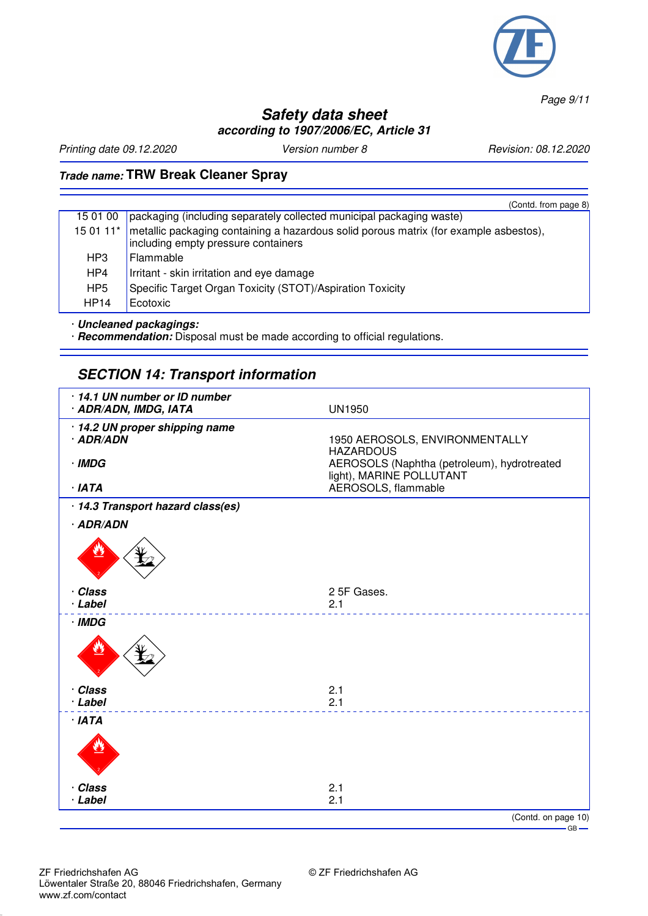

*Page 9/11*

## **Safety data sheet according to 1907/2006/EC, Article 31**

*Printing date 09.12.2020 Version number 8 Revision: 08.12.2020*

# **Trade name: TRW Break Cleaner Spray**

|                 | (Contd. from page 8)                                                                                                                                 |
|-----------------|------------------------------------------------------------------------------------------------------------------------------------------------------|
| 15 01 00        | packaging (including separately collected municipal packaging waste)                                                                                 |
|                 | 15 01 11 <sup>*</sup>   metallic packaging containing a hazardous solid porous matrix (for example asbestos),<br>including empty pressure containers |
| HP3             | Flammable                                                                                                                                            |
| HP4             | Irritant - skin irritation and eye damage                                                                                                            |
| HP <sub>5</sub> | Specific Target Organ Toxicity (STOT)/Aspiration Toxicity                                                                                            |
| <b>HP14</b>     | Ecotoxic                                                                                                                                             |

· **Uncleaned packagings:**

· **Recommendation:** Disposal must be made according to official regulations.

## **SECTION 14: Transport information**

| 14.1 UN number or ID number<br>· ADR/ADN, IMDG, IATA  | <b>UN1950</b>                                                                                                                 |
|-------------------------------------------------------|-------------------------------------------------------------------------------------------------------------------------------|
| · 14.2 UN proper shipping name<br>· ADR/ADN<br>· IMDG | 1950 AEROSOLS, ENVIRONMENTALLY<br><b>HAZARDOUS</b><br>AEROSOLS (Naphtha (petroleum), hydrotreated<br>light), MARINE POLLUTANT |
| · IATA                                                | AEROSOLS, flammable                                                                                                           |
| · 14.3 Transport hazard class(es)                     |                                                                                                                               |
| · ADR/ADN                                             |                                                                                                                               |
|                                                       |                                                                                                                               |
| · Class<br>· Label                                    | 2 5F Gases.<br>2.1                                                                                                            |
| · IMDG                                                |                                                                                                                               |
|                                                       |                                                                                                                               |
| · Class<br>· Label                                    | 2.1<br>2.1                                                                                                                    |
| · IATA                                                |                                                                                                                               |
|                                                       |                                                                                                                               |
| · Class<br>· Label                                    | 2.1<br>2.1                                                                                                                    |
|                                                       | (Contd. on page 10)                                                                                                           |
|                                                       | $\overline{\phantom{0}}$ GB $\overline{\phantom{0}}$                                                                          |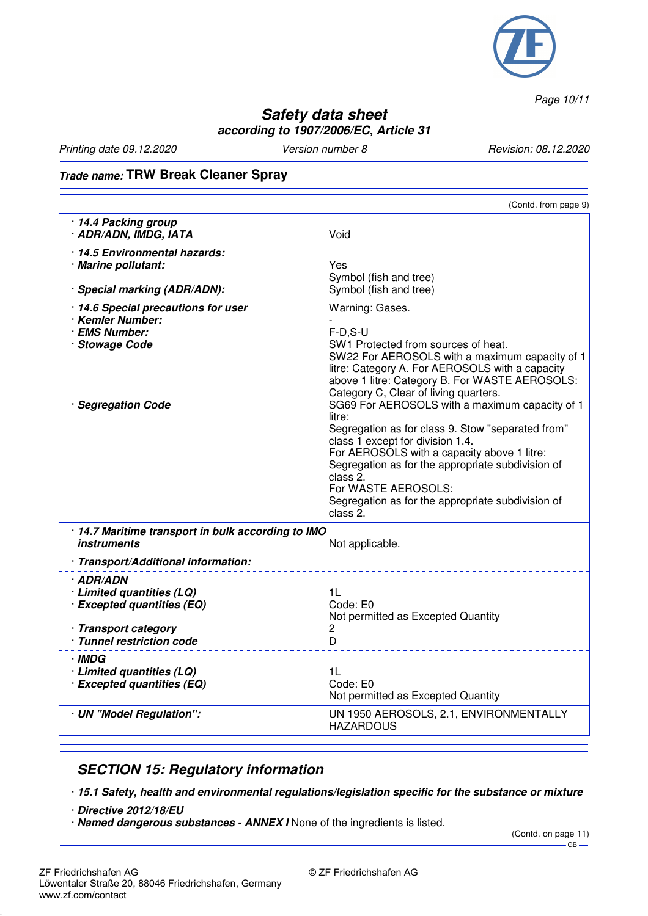

*Page 10/11*

### **Safety data sheet according to 1907/2006/EC, Article 31**

*Printing date 09.12.2020 Version number 8 Revision: 08.12.2020*

# **Trade name: TRW Break Cleaner Spray**

|                                                                                                                           | (Contd. from page 9)                                                                                                                                                                                                                                                                                                                                                                                                                                                                                                                                                                                                              |
|---------------------------------------------------------------------------------------------------------------------------|-----------------------------------------------------------------------------------------------------------------------------------------------------------------------------------------------------------------------------------------------------------------------------------------------------------------------------------------------------------------------------------------------------------------------------------------------------------------------------------------------------------------------------------------------------------------------------------------------------------------------------------|
| · 14.4 Packing group<br>· ADR/ADN, IMDG, IATA                                                                             | Void                                                                                                                                                                                                                                                                                                                                                                                                                                                                                                                                                                                                                              |
| · 14.5 Environmental hazards:<br>· Marine pollutant:<br>· Special marking (ADR/ADN):                                      | Yes<br>Symbol (fish and tree)<br>Symbol (fish and tree)                                                                                                                                                                                                                                                                                                                                                                                                                                                                                                                                                                           |
| · 14.6 Special precautions for user<br>Kemler Number:<br>· EMS Number:<br><b>Stowage Code</b><br><b>Segregation Code</b>  | Warning: Gases.<br>$F-D, S-U$<br>SW1 Protected from sources of heat.<br>SW22 For AEROSOLS with a maximum capacity of 1<br>litre: Category A. For AEROSOLS with a capacity<br>above 1 litre: Category B. For WASTE AEROSOLS:<br>Category C, Clear of living quarters.<br>SG69 For AEROSOLS with a maximum capacity of 1<br>litre:<br>Segregation as for class 9. Stow "separated from"<br>class 1 except for division 1.4.<br>For AEROSOLS with a capacity above 1 litre:<br>Segregation as for the appropriate subdivision of<br>class 2.<br>For WASTE AEROSOLS:<br>Segregation as for the appropriate subdivision of<br>class 2. |
| · 14.7 Maritime transport in bulk according to IMO<br><i>instruments</i>                                                  | Not applicable.                                                                                                                                                                                                                                                                                                                                                                                                                                                                                                                                                                                                                   |
| · Transport/Additional information:                                                                                       |                                                                                                                                                                                                                                                                                                                                                                                                                                                                                                                                                                                                                                   |
| · ADR/ADN<br>· Limited quantities (LQ)<br>· Excepted quantities (EQ)<br>· Transport category<br>· Tunnel restriction code | 1 <sup>L</sup><br>Code: E0<br>Not permitted as Excepted Quantity<br>2<br>D                                                                                                                                                                                                                                                                                                                                                                                                                                                                                                                                                        |
| · IMDG<br>· Limited quantities (LQ)<br>· Excepted quantities (EQ)                                                         | 1L<br>Code: E0<br>Not permitted as Excepted Quantity                                                                                                                                                                                                                                                                                                                                                                                                                                                                                                                                                                              |
| · UN "Model Regulation":                                                                                                  | UN 1950 AEROSOLS, 2.1, ENVIRONMENTALLY<br><b>HAZARDOUS</b>                                                                                                                                                                                                                                                                                                                                                                                                                                                                                                                                                                        |

## **SECTION 15: Regulatory information**

· **15.1 Safety, health and environmental regulations/legislation specific for the substance or mixture**

- · **Directive 2012/18/EU**
- · **Named dangerous substances ANNEX I** None of the ingredients is listed.

(Contd. on page 11)